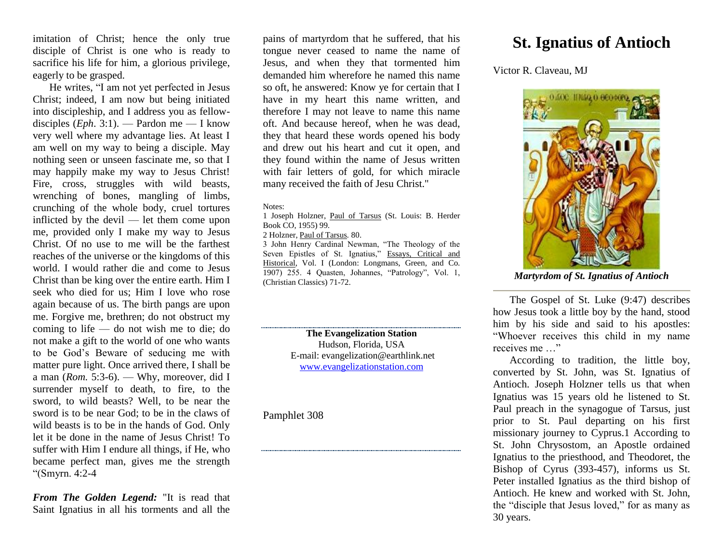imitation of Christ; hence the only true disciple of Christ is one who is ready to sacrifice his life for him, a glorious privilege, eagerly to be grasped.

He writes, "I am not yet perfected in Jesus Christ; indeed, I am now but being initiated into discipleship, and I address you as fellowdisciples (*Eph*. 3:1). — Pardon me — I know very well where my advantage lies. At least I am well on my way to being a disciple. May nothing seen or unseen fascinate me, so that I may happily make my way to Jesus Christ! Fire, cross, struggles with wild beasts, wrenching of bones, mangling of limbs, crunching of the whole body, cruel tortures inflicted by the devil — let them come upon me, provided only I make my way to Jesus Christ. Of no use to me will be the farthest reaches of the universe or the kingdoms of this world. I would rather die and come to Jesus Christ than be king over the entire earth. Him I seek who died for us; Him I love who rose again because of us. The birth pangs are upon me. Forgive me, brethren; do not obstruct my coming to life — do not wish me to die; do not make a gift to the world of one who wants to be God's Beware of seducing me with matter pure light. Once arrived there, I shall be a man (*Rom.* 5:3-6). — Why, moreover, did I surrender myself to death, to fire, to the sword, to wild beasts? Well, to be near the sword is to be near God; to be in the claws of wild beasts is to be in the hands of God. Only let it be done in the name of Jesus Christ! To suffer with Him I endure all things, if He, who became perfect man, gives me the strength "(Smyrn. 4:2-4

*From The Golden Legend:* "It is read that Saint Ignatius in all his torments and all the

pains of martyrdom that he suffered, that his tongue never ceased to name the name of Jesus, and when they that tormented him demanded him wherefore he named this name so oft, he answered: Know ye for certain that I have in my heart this name written, and therefore I may not leave to name this name oft. And because hereof, when he was dead, they that heard these words opened his body and drew out his heart and cut it open, and they found within the name of Jesus written with fair letters of gold, for which miracle many received the faith of Jesu Christ."

## Notes:

1 Joseph Holzner, Paul of Tarsus (St. Louis: B. Herder Book CO, 1955) 99.

2 Holzner, Paul of Tarsus*.* 80.

3 John Henry Cardinal Newman, "The Theology of the Seven Epistles of St. Ignatius," Essays, Critical and Historical, Vol. I (London: Longmans, Green, and Co. 1907) 255. 4 Quasten, Johannes, "Patrology", Vol. 1, (Christian Classics) 71-72.

> **The Evangelization Station** Hudson, Florida, USA E-mail: evangelization@earthlink.net [www.evangelizationstation.com](http://www.pjpiisoe.org/)

Pamphlet 308

## **St. Ignatius of Antioch**

Victor R. Claveau, MJ



*Martyrdom of St. Ignatius of Antioch*

The Gospel of St. Luke (9:47) describes how Jesus took a little boy by the hand, stood him by his side and said to his apostles: "Whoever receives this child in my name receives me …"

According to tradition, the little boy, converted by St. John, was St. Ignatius of Antioch. Joseph Holzner tells us that when Ignatius was 15 years old he listened to St. Paul preach in the synagogue of Tarsus, just prior to St. Paul departing on his first missionary journey to Cyprus.1 According to St. John Chrysostom, an Apostle ordained Ignatius to the priesthood, and Theodoret, the Bishop of Cyrus (393-457), informs us St. Peter installed Ignatius as the third bishop of Antioch. He knew and worked with St. John, the "disciple that Jesus loved," for as many as 30 years.